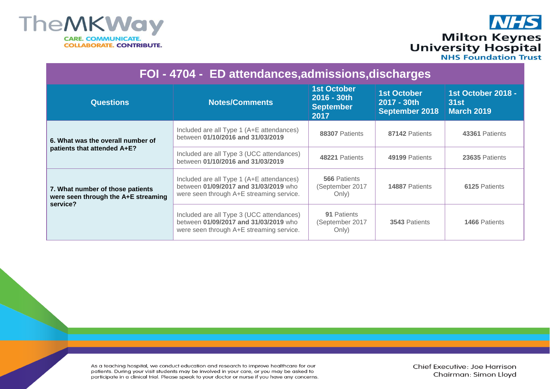



| FOI - 4704 - ED attendances, admissions, discharges                                 |                                                                                                                                |                                                                 |                                                            |                                                        |  |  |
|-------------------------------------------------------------------------------------|--------------------------------------------------------------------------------------------------------------------------------|-----------------------------------------------------------------|------------------------------------------------------------|--------------------------------------------------------|--|--|
| <b>Questions</b>                                                                    | <b>Notes/Comments</b>                                                                                                          | <b>1st October</b><br>$2016 - 30th$<br><b>September</b><br>2017 | <b>1st October</b><br>2017 - 30th<br><b>September 2018</b> | <b>1st October 2018 -</b><br>31st<br><b>March 2019</b> |  |  |
| 6. What was the overall number of<br>patients that attended A+E?                    | Included are all Type 1 (A+E attendances)<br>between 01/10/2016 and 31/03/2019                                                 | 88307 Patients                                                  | 87142 Patients                                             | 43361 Patients                                         |  |  |
|                                                                                     | Included are all Type 3 (UCC attendances)<br>between 01/10/2016 and 31/03/2019                                                 | 48221 Patients                                                  | 49199 Patients                                             | 23635 Patients                                         |  |  |
| 7. What number of those patients<br>were seen through the A+E streaming<br>service? | Included are all Type 1 (A+E attendances)<br>between 01/09/2017 and 31/03/2019 who<br>were seen through A+E streaming service. | 566 Patients<br>(September 2017)<br>Only)                       | 14887 Patients                                             | 6125 Patients                                          |  |  |
|                                                                                     | Included are all Type 3 (UCC attendances)<br>between 01/09/2017 and 31/03/2019 who<br>were seen through A+E streaming service. | 91 Patients<br>(September 2017<br>Only)                         | <b>3543 Patients</b>                                       | <b>1466 Patients</b>                                   |  |  |

As a teaching hospital, we conduct education and research to improve healthcare for our patients. During your visit students may be involved in your care, or you may be asked to participate in a clinical trial. Please speak to your doctor or nurse if you have any concerns. Chief Executive: Joe Harrison Chairman: Simon Lloyd